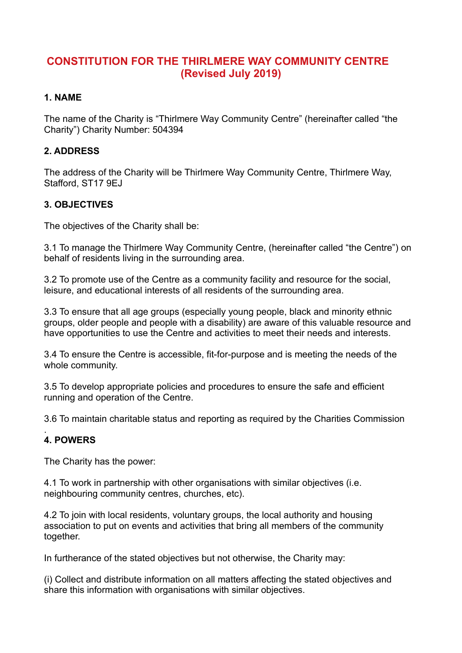# **CONSTITUTION FOR THE THIRLMERE WAY COMMUNITY CENTRE (Revised July 2019)**

## **1. NAME**

The name of the Charity is "Thirlmere Way Community Centre" (hereinafter called "the Charity") Charity Number: 504394

## **2. ADDRESS**

The address of the Charity will be Thirlmere Way Community Centre, Thirlmere Way, Stafford, ST17 9EJ

## **3. OBJECTIVES**

The objectives of the Charity shall be:

3.1 To manage the Thirlmere Way Community Centre, (hereinafter called "the Centre") on behalf of residents living in the surrounding area.

3.2 To promote use of the Centre as a community facility and resource for the social, leisure, and educational interests of all residents of the surrounding area.

3.3 To ensure that all age groups (especially young people, black and minority ethnic groups, older people and people with a disability) are aware of this valuable resource and have opportunities to use the Centre and activities to meet their needs and interests.

3.4 To ensure the Centre is accessible, fit-for-purpose and is meeting the needs of the whole community.

3.5 To develop appropriate policies and procedures to ensure the safe and efficient running and operation of the Centre.

3.6 To maintain charitable status and reporting as required by the Charities Commission

#### . **4. POWERS**

The Charity has the power:

4.1 To work in partnership with other organisations with similar objectives (i.e. neighbouring community centres, churches, etc).

4.2 To join with local residents, voluntary groups, the local authority and housing association to put on events and activities that bring all members of the community together.

In furtherance of the stated objectives but not otherwise, the Charity may:

(i) Collect and distribute information on all matters affecting the stated objectives and share this information with organisations with similar objectives.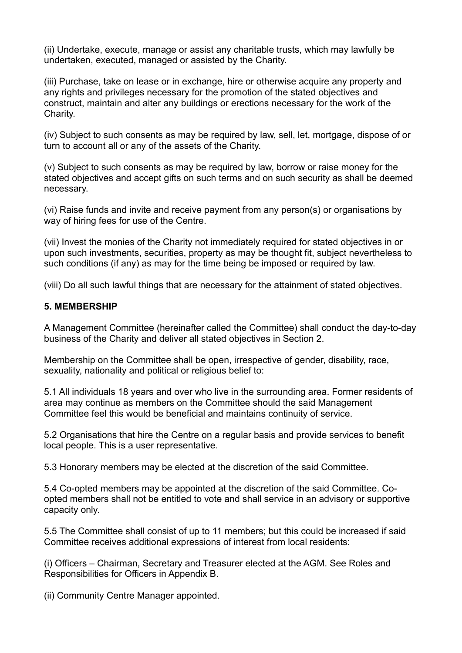(ii) Undertake, execute, manage or assist any charitable trusts, which may lawfully be undertaken, executed, managed or assisted by the Charity.

(iii) Purchase, take on lease or in exchange, hire or otherwise acquire any property and any rights and privileges necessary for the promotion of the stated objectives and construct, maintain and alter any buildings or erections necessary for the work of the Charity.

(iv) Subject to such consents as may be required by law, sell, let, mortgage, dispose of or turn to account all or any of the assets of the Charity.

(v) Subject to such consents as may be required by law, borrow or raise money for the stated objectives and accept gifts on such terms and on such security as shall be deemed necessary.

(vi) Raise funds and invite and receive payment from any person(s) or organisations by way of hiring fees for use of the Centre.

(vii) Invest the monies of the Charity not immediately required for stated objectives in or upon such investments, securities, property as may be thought fit, subject nevertheless to such conditions (if any) as may for the time being be imposed or required by law.

(viii) Do all such lawful things that are necessary for the attainment of stated objectives.

#### **5. MEMBERSHIP**

A Management Committee (hereinafter called the Committee) shall conduct the day-to-day business of the Charity and deliver all stated objectives in Section 2.

Membership on the Committee shall be open, irrespective of gender, disability, race, sexuality, nationality and political or religious belief to:

5.1 All individuals 18 years and over who live in the surrounding area. Former residents of area may continue as members on the Committee should the said Management Committee feel this would be beneficial and maintains continuity of service.

5.2 Organisations that hire the Centre on a regular basis and provide services to benefit local people. This is a user representative.

5.3 Honorary members may be elected at the discretion of the said Committee.

5.4 Co-opted members may be appointed at the discretion of the said Committee. Coopted members shall not be entitled to vote and shall service in an advisory or supportive capacity only.

5.5 The Committee shall consist of up to 11 members; but this could be increased if said Committee receives additional expressions of interest from local residents:

(i) Officers – Chairman, Secretary and Treasurer elected at the AGM. See Roles and Responsibilities for Officers in Appendix B.

(ii) Community Centre Manager appointed.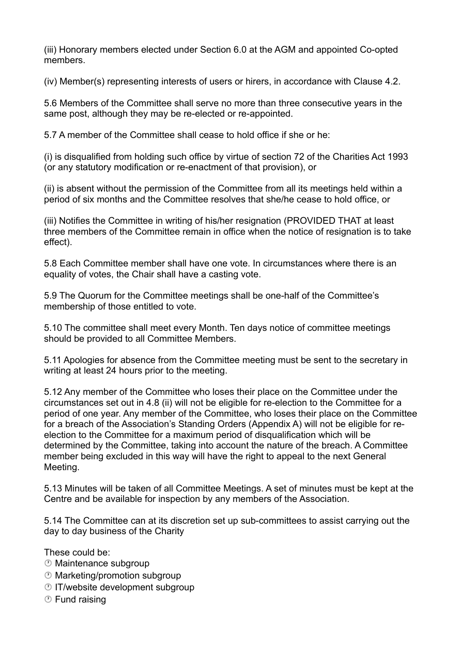(iii) Honorary members elected under Section 6.0 at the AGM and appointed Co-opted members.

(iv) Member(s) representing interests of users or hirers, in accordance with Clause 4.2.

5.6 Members of the Committee shall serve no more than three consecutive years in the same post, although they may be re-elected or re-appointed.

5.7 A member of the Committee shall cease to hold office if she or he:

(i) is disqualified from holding such office by virtue of section 72 of the Charities Act 1993 (or any statutory modification or re-enactment of that provision), or

(ii) is absent without the permission of the Committee from all its meetings held within a period of six months and the Committee resolves that she/he cease to hold office, or

(iii) Notifies the Committee in writing of his/her resignation (PROVIDED THAT at least three members of the Committee remain in office when the notice of resignation is to take effect).

5.8 Each Committee member shall have one vote. In circumstances where there is an equality of votes, the Chair shall have a casting vote.

5.9 The Quorum for the Committee meetings shall be one-half of the Committee's membership of those entitled to vote.

5.10 The committee shall meet every Month. Ten days notice of committee meetings should be provided to all Committee Members.

5.11 Apologies for absence from the Committee meeting must be sent to the secretary in writing at least 24 hours prior to the meeting.

5.12 Any member of the Committee who loses their place on the Committee under the circumstances set out in 4.8 (ii) will not be eligible for re-election to the Committee for a period of one year. Any member of the Committee, who loses their place on the Committee for a breach of the Association's Standing Orders (Appendix A) will not be eligible for reelection to the Committee for a maximum period of disqualification which will be determined by the Committee, taking into account the nature of the breach. A Committee member being excluded in this way will have the right to appeal to the next General Meeting.

5.13 Minutes will be taken of all Committee Meetings. A set of minutes must be kept at the Centre and be available for inspection by any members of the Association.

5.14 The Committee can at its discretion set up sub-committees to assist carrying out the day to day business of the Charity

These could be:

- Maintenance subgroup
- Marketing/promotion subgroup
- $\circledcirc$  IT/website development subgroup
- Fund raising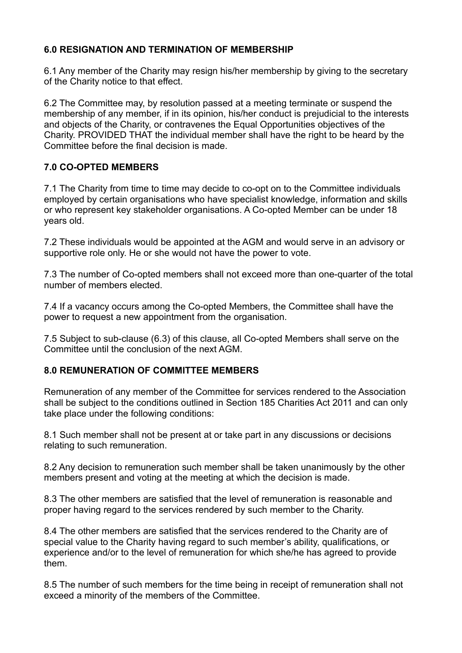## **6.0 RESIGNATION AND TERMINATION OF MEMBERSHIP**

6.1 Any member of the Charity may resign his/her membership by giving to the secretary of the Charity notice to that effect.

6.2 The Committee may, by resolution passed at a meeting terminate or suspend the membership of any member, if in its opinion, his/her conduct is prejudicial to the interests and objects of the Charity, or contravenes the Equal Opportunities objectives of the Charity. PROVIDED THAT the individual member shall have the right to be heard by the Committee before the final decision is made.

### **7.0 CO-OPTED MEMBERS**

7.1 The Charity from time to time may decide to co-opt on to the Committee individuals employed by certain organisations who have specialist knowledge, information and skills or who represent key stakeholder organisations. A Co-opted Member can be under 18 years old.

7.2 These individuals would be appointed at the AGM and would serve in an advisory or supportive role only. He or she would not have the power to vote.

7.3 The number of Co-opted members shall not exceed more than one-quarter of the total number of members elected.

7.4 If a vacancy occurs among the Co-opted Members, the Committee shall have the power to request a new appointment from the organisation.

7.5 Subject to sub-clause (6.3) of this clause, all Co-opted Members shall serve on the Committee until the conclusion of the next AGM.

#### **8.0 REMUNERATION OF COMMITTEE MEMBERS**

Remuneration of any member of the Committee for services rendered to the Association shall be subject to the conditions outlined in Section 185 Charities Act 2011 and can only take place under the following conditions:

8.1 Such member shall not be present at or take part in any discussions or decisions relating to such remuneration.

8.2 Any decision to remuneration such member shall be taken unanimously by the other members present and voting at the meeting at which the decision is made.

8.3 The other members are satisfied that the level of remuneration is reasonable and proper having regard to the services rendered by such member to the Charity.

8.4 The other members are satisfied that the services rendered to the Charity are of special value to the Charity having regard to such member's ability, qualifications, or experience and/or to the level of remuneration for which she/he has agreed to provide them.

8.5 The number of such members for the time being in receipt of remuneration shall not exceed a minority of the members of the Committee.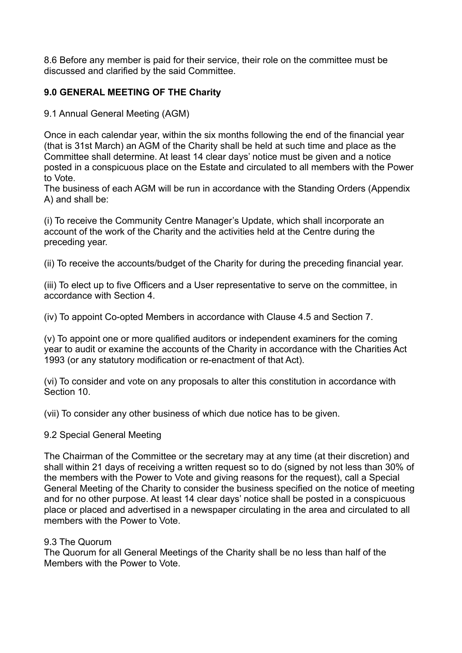8.6 Before any member is paid for their service, their role on the committee must be discussed and clarified by the said Committee.

## **9.0 GENERAL MEETING OF THE Charity**

9.1 Annual General Meeting (AGM)

Once in each calendar year, within the six months following the end of the financial year (that is 31st March) an AGM of the Charity shall be held at such time and place as the Committee shall determine. At least 14 clear days' notice must be given and a notice posted in a conspicuous place on the Estate and circulated to all members with the Power to Vote.

The business of each AGM will be run in accordance with the Standing Orders (Appendix A) and shall be:

(i) To receive the Community Centre Manager's Update, which shall incorporate an account of the work of the Charity and the activities held at the Centre during the preceding year.

(ii) To receive the accounts/budget of the Charity for during the preceding financial year.

(iii) To elect up to five Officers and a User representative to serve on the committee, in accordance with Section 4.

(iv) To appoint Co-opted Members in accordance with Clause 4.5 and Section 7.

(v) To appoint one or more qualified auditors or independent examiners for the coming year to audit or examine the accounts of the Charity in accordance with the Charities Act 1993 (or any statutory modification or re-enactment of that Act).

(vi) To consider and vote on any proposals to alter this constitution in accordance with Section 10.

(vii) To consider any other business of which due notice has to be given.

9.2 Special General Meeting

The Chairman of the Committee or the secretary may at any time (at their discretion) and shall within 21 days of receiving a written request so to do (signed by not less than 30% of the members with the Power to Vote and giving reasons for the request), call a Special General Meeting of the Charity to consider the business specified on the notice of meeting and for no other purpose. At least 14 clear days' notice shall be posted in a conspicuous place or placed and advertised in a newspaper circulating in the area and circulated to all members with the Power to Vote.

#### 9.3 The Quorum

The Quorum for all General Meetings of the Charity shall be no less than half of the Members with the Power to Vote.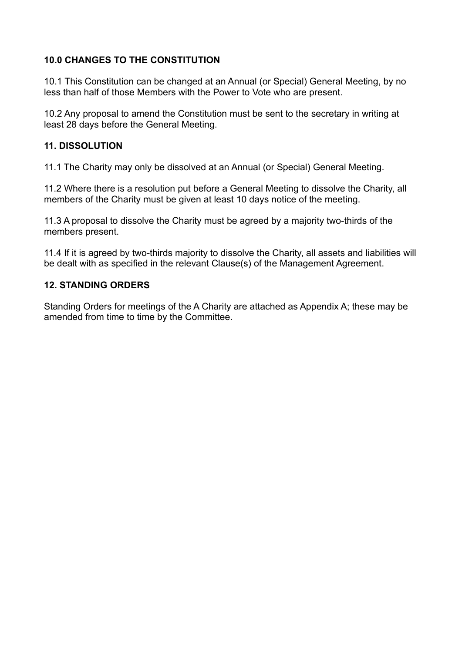## **10.0 CHANGES TO THE CONSTITUTION**

10.1 This Constitution can be changed at an Annual (or Special) General Meeting, by no less than half of those Members with the Power to Vote who are present.

10.2 Any proposal to amend the Constitution must be sent to the secretary in writing at least 28 days before the General Meeting.

### **11. DISSOLUTION**

11.1 The Charity may only be dissolved at an Annual (or Special) General Meeting.

11.2 Where there is a resolution put before a General Meeting to dissolve the Charity, all members of the Charity must be given at least 10 days notice of the meeting.

11.3 A proposal to dissolve the Charity must be agreed by a majority two-thirds of the members present.

11.4 If it is agreed by two-thirds majority to dissolve the Charity, all assets and liabilities will be dealt with as specified in the relevant Clause(s) of the Management Agreement.

### **12. STANDING ORDERS**

Standing Orders for meetings of the A Charity are attached as Appendix A; these may be amended from time to time by the Committee.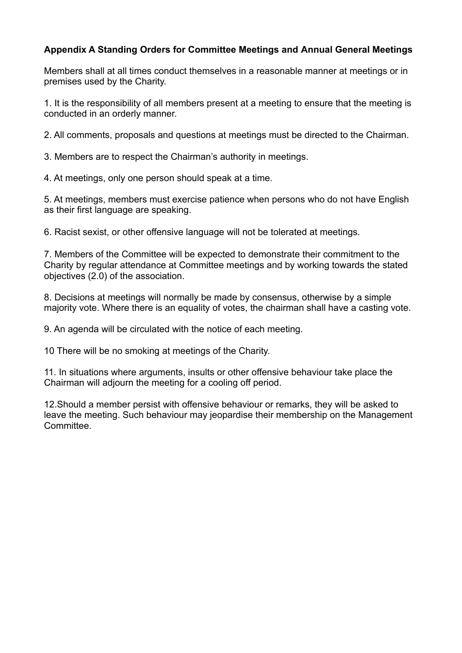## **Appendix A Standing Orders for Committee Meetings and Annual General Meetings**

Members shall at all times conduct themselves in a reasonable manner at meetings or in premises used by the Charity.

1. It is the responsibility of all members present at a meeting to ensure that the meeting is conducted in an orderly manner.

2. All comments, proposals and questions at meetings must be directed to the Chairman.

3. Members are to respect the Chairman's authority in meetings.

4. At meetings, only one person should speak at a time.

5. At meetings, members must exercise patience when persons who do not have English as their first language are speaking.

6. Racist sexist, or other offensive language will not be tolerated at meetings.

7. Members of the Committee will be expected to demonstrate their commitment to the Charity by regular attendance at Committee meetings and by working towards the stated objectives (2.0) of the association.

8. Decisions at meetings will normally be made by consensus, otherwise by a simple majority vote. Where there is an equality of votes, the chairman shall have a casting vote.

9. An agenda will be circulated with the notice of each meeting.

10 There will be no smoking at meetings of the Charity.

11. In situations where arguments, insults or other offensive behaviour take place the Chairman will adjourn the meeting for a cooling off period.

12.Should a member persist with offensive behaviour or remarks, they will be asked to leave the meeting. Such behaviour may jeopardise their membership on the Management Committee.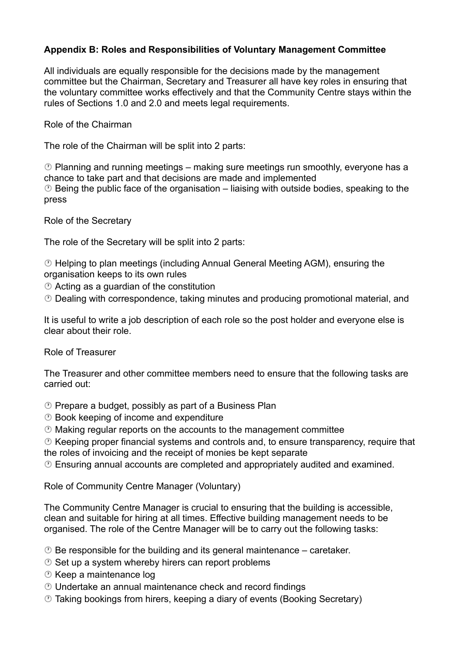## **Appendix B: Roles and Responsibilities of Voluntary Management Committee**

All individuals are equally responsible for the decisions made by the management committee but the Chairman, Secretary and Treasurer all have key roles in ensuring that the voluntary committee works effectively and that the Community Centre stays within the rules of Sections 1.0 and 2.0 and meets legal requirements.

Role of the Chairman

The role of the Chairman will be split into 2 parts:

 $\circled{2}$  Planning and running meetings – making sure meetings run smoothly, everyone has a chance to take part and that decisions are made and implemented  $\odot$  Being the public face of the organisation – liaising with outside bodies, speaking to the press

Role of the Secretary

The role of the Secretary will be split into 2 parts:

 Helping to plan meetings (including Annual General Meeting AGM), ensuring the organisation keeps to its own rules

Acting as a guardian of the constitution

Dealing with correspondence, taking minutes and producing promotional material, and

It is useful to write a job description of each role so the post holder and everyone else is clear about their role.

Role of Treasurer

The Treasurer and other committee members need to ensure that the following tasks are carried out:

- $\circledcirc$  Prepare a budget, possibly as part of a Business Plan
- **<sup>** $\circledcirc$ **</sup> Book keeping of income and expenditure**
- $\odot$  Making regular reports on the accounts to the management committee

 $\odot$  Keeping proper financial systems and controls and, to ensure transparency, require that the roles of invoicing and the receipt of monies be kept separate

Ensuring annual accounts are completed and appropriately audited and examined.

Role of Community Centre Manager (Voluntary)

The Community Centre Manager is crucial to ensuring that the building is accessible, clean and suitable for hiring at all times. Effective building management needs to be organised. The role of the Centre Manager will be to carry out the following tasks:

 $\circled{2}$  Be responsible for the building and its general maintenance – caretaker.

- $\circledcirc$  Set up a system whereby hirers can report problems
- Keep a maintenance log
- Undertake an annual maintenance check and record findings
- Taking bookings from hirers, keeping a diary of events (Booking Secretary)